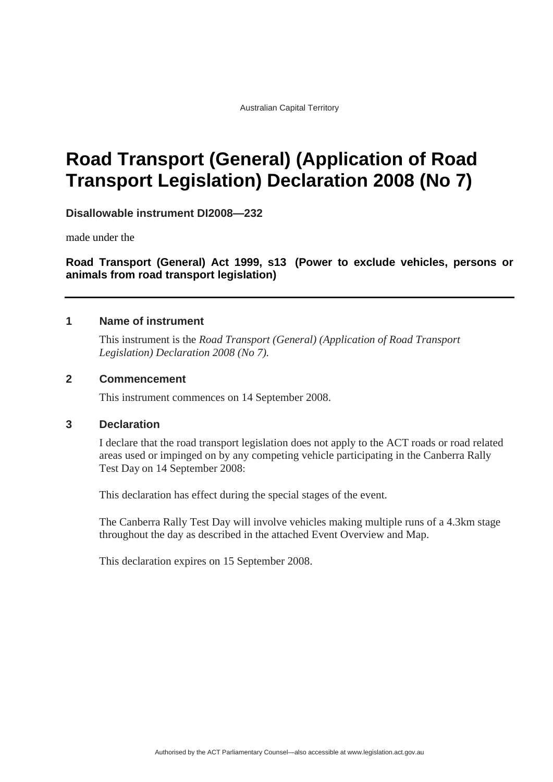Australian Capital Territory

# **Road Transport (General) (Application of Road Transport Legislation) Declaration 2008 (No 7)**

**Disallowable instrument DI2008—232**

made under the

**Road Transport (General) Act 1999, s13 (Power to exclude vehicles, persons or animals from road transport legislation)**

### **1 Name of instrument**

This instrument is the *Road Transport (General) (Application of Road Transport Legislation) Declaration 2008 (No 7).*

### **2 Commencement**

This instrument commences on 14 September 2008.

### **3 Declaration**

I declare that the road transport legislation does not apply to the ACT roads or road related areas used or impinged on by any competing vehicle participating in the Canberra Rally Test Day on 14 September 2008:

This declaration has effect during the special stages of the event.

The Canberra Rally Test Day will involve vehicles making multiple runs of a 4.3km stage throughout the day as described in the attached Event Overview and Map.

This declaration expires on 15 September 2008.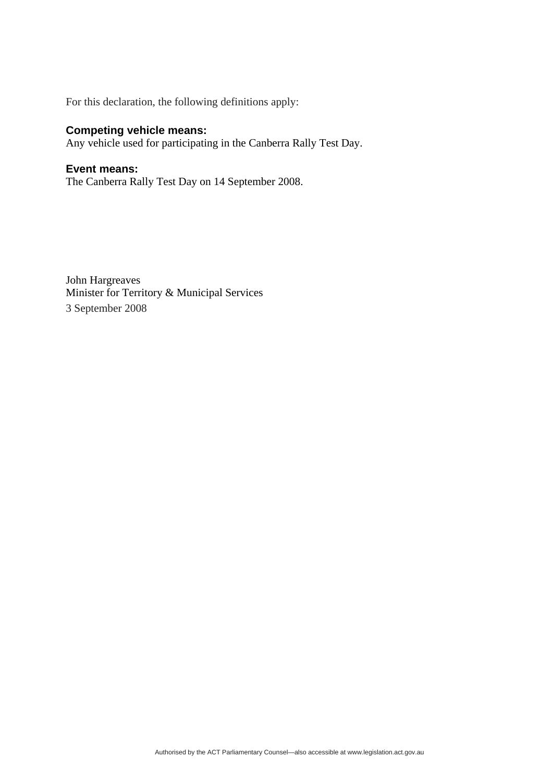For this declaration, the following definitions apply:

## **Competing vehicle means:**

Any vehicle used for participating in the Canberra Rally Test Day.

### **Event means:**

The Canberra Rally Test Day on 14 September 2008.

John Hargreaves Minister for Territory & Municipal Services 3 September 2008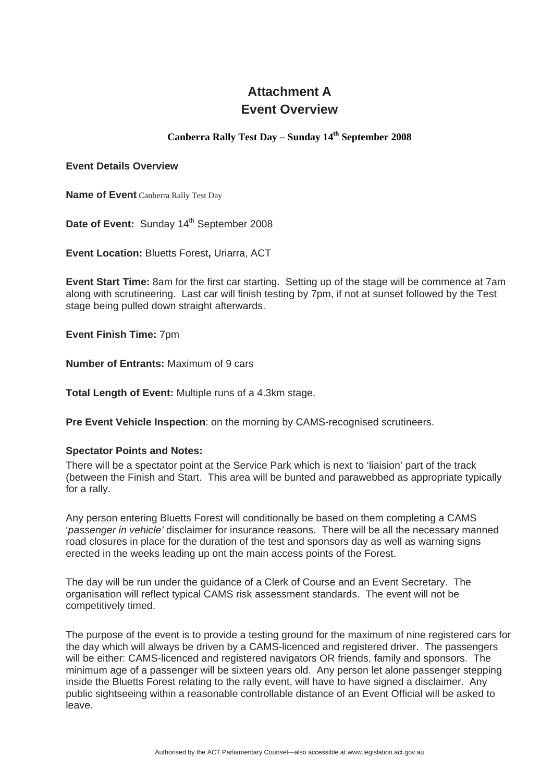# **Attachment A Event Overview**

### **Canberra Rally Test Day – Sunday 14th September 2008**

#### **Event Details Overview**

**Name of Event** Canberra Rally Test Day

Date of Event: Sunday 14<sup>th</sup> September 2008

**Event Location:** Bluetts Forest**,** Uriarra, ACT

**Event Start Time:** 8am for the first car starting. Setting up of the stage will be commence at 7am along with scrutineering. Last car will finish testing by 7pm, if not at sunset followed by the Test stage being pulled down straight afterwards.

**Event Finish Time:** 7pm

**Number of Entrants:** Maximum of 9 cars

**Total Length of Event:** Multiple runs of a 4.3km stage.

**Pre Event Vehicle Inspection**: on the morning by CAMS-recognised scrutineers.

### **Spectator Points and Notes:**

There will be a spectator point at the Service Park which is next to 'liaision' part of the track (between the Finish and Start. This area will be bunted and parawebbed as appropriate typically for a rally.

Any person entering Bluetts Forest will conditionally be based on them completing a CAMS '*passenger in vehicle'* disclaimer for insurance reasons. There will be all the necessary manned road closures in place for the duration of the test and sponsors day as well as warning signs erected in the weeks leading up ont the main access points of the Forest.

The day will be run under the guidance of a Clerk of Course and an Event Secretary. The organisation will reflect typical CAMS risk assessment standards. The event will not be competitively timed.

The purpose of the event is to provide a testing ground for the maximum of nine registered cars for the day which will always be driven by a CAMS-licenced and registered driver. The passengers will be either: CAMS-licenced and registered navigators OR friends, family and sponsors. The minimum age of a passenger will be sixteen years old. Any person let alone passenger stepping inside the Bluetts Forest relating to the rally event, will have to have signed a disclaimer. Any public sightseeing within a reasonable controllable distance of an Event Official will be asked to leave.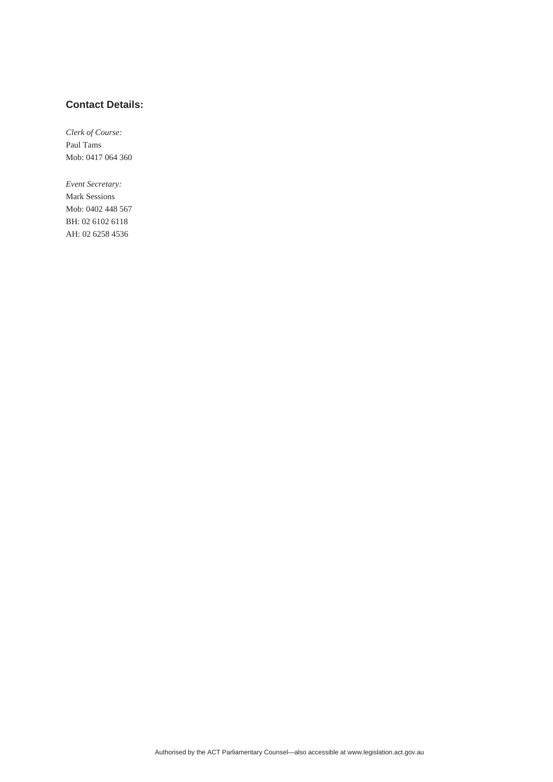### **Contact Details:**

*Clerk of Course:*  Paul Tams Mob: 0417 064 360

*Event Secretary:*  Mark Sessions Mob: 0402 448 567 BH: 02 6102 6118 AH: 02 6258 4536